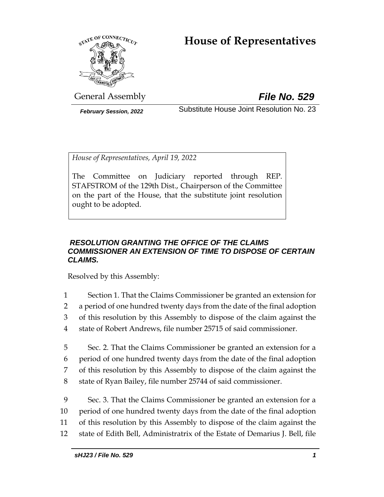# **House of Representatives**



General Assembly *File No. 529*

*February Session, 2022* Substitute House Joint Resolution No. 23

*House of Representatives, April 19, 2022*

The Committee on Judiciary reported through REP. STAFSTROM of the 129th Dist., Chairperson of the Committee on the part of the House, that the substitute joint resolution ought to be adopted.

## *RESOLUTION GRANTING THE OFFICE OF THE CLAIMS COMMISSIONER AN EXTENSION OF TIME TO DISPOSE OF CERTAIN CLAIMS.*

Resolved by this Assembly:

- 1 Section 1. That the Claims Commissioner be granted an extension for 2 a period of one hundred twenty days from the date of the final adoption 3 of this resolution by this Assembly to dispose of the claim against the 4 state of Robert Andrews, file number 25715 of said commissioner.
- 5 Sec. 2. That the Claims Commissioner be granted an extension for a 6 period of one hundred twenty days from the date of the final adoption 7 of this resolution by this Assembly to dispose of the claim against the 8 state of Ryan Bailey, file number 25744 of said commissioner.
- 9 Sec. 3. That the Claims Commissioner be granted an extension for a 10 period of one hundred twenty days from the date of the final adoption 11 of this resolution by this Assembly to dispose of the claim against the 12 state of Edith Bell, Administratrix of the Estate of Demarius J. Bell, file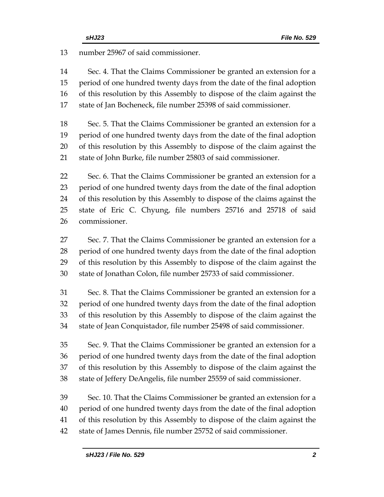number 25967 of said commissioner.

 Sec. 4. That the Claims Commissioner be granted an extension for a period of one hundred twenty days from the date of the final adoption of this resolution by this Assembly to dispose of the claim against the state of Jan Bocheneck, file number 25398 of said commissioner.

 Sec. 5. That the Claims Commissioner be granted an extension for a period of one hundred twenty days from the date of the final adoption of this resolution by this Assembly to dispose of the claim against the state of John Burke, file number 25803 of said commissioner.

 Sec. 6. That the Claims Commissioner be granted an extension for a period of one hundred twenty days from the date of the final adoption of this resolution by this Assembly to dispose of the claims against the state of Eric C. Chyung, file numbers 25716 and 25718 of said commissioner.

 Sec. 7. That the Claims Commissioner be granted an extension for a period of one hundred twenty days from the date of the final adoption of this resolution by this Assembly to dispose of the claim against the state of Jonathan Colon, file number 25733 of said commissioner.

 Sec. 8. That the Claims Commissioner be granted an extension for a period of one hundred twenty days from the date of the final adoption of this resolution by this Assembly to dispose of the claim against the state of Jean Conquistador, file number 25498 of said commissioner.

 Sec. 9. That the Claims Commissioner be granted an extension for a period of one hundred twenty days from the date of the final adoption of this resolution by this Assembly to dispose of the claim against the state of Jeffery DeAngelis, file number 25559 of said commissioner.

 Sec. 10. That the Claims Commissioner be granted an extension for a period of one hundred twenty days from the date of the final adoption of this resolution by this Assembly to dispose of the claim against the state of James Dennis, file number 25752 of said commissioner.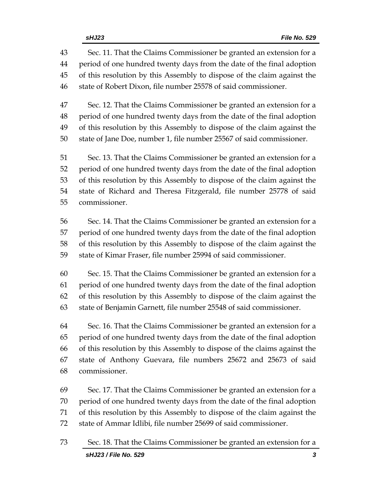| 43 | Sec. 11. That the Claims Commissioner be granted an extension for a      |
|----|--------------------------------------------------------------------------|
| 44 | period of one hundred twenty days from the date of the final adoption    |
| 45 | of this resolution by this Assembly to dispose of the claim against the  |
| 46 | state of Robert Dixon, file number 25578 of said commissioner.           |
| 47 | Sec. 12. That the Claims Commissioner be granted an extension for a      |
| 48 | period of one hundred twenty days from the date of the final adoption    |
| 49 | of this resolution by this Assembly to dispose of the claim against the  |
| 50 | state of Jane Doe, number 1, file number 25567 of said commissioner.     |
| 51 | Sec. 13. That the Claims Commissioner be granted an extension for a      |
| 52 | period of one hundred twenty days from the date of the final adoption    |
| 53 | of this resolution by this Assembly to dispose of the claim against the  |
| 54 | state of Richard and Theresa Fitzgerald, file number 25778 of said       |
| 55 | commissioner.                                                            |
| 56 | Sec. 14. That the Claims Commissioner be granted an extension for a      |
| 57 | period of one hundred twenty days from the date of the final adoption    |
| 58 | of this resolution by this Assembly to dispose of the claim against the  |
| 59 | state of Kimar Fraser, file number 25994 of said commissioner.           |
| 60 | Sec. 15. That the Claims Commissioner be granted an extension for a      |
| 61 | period of one hundred twenty days from the date of the final adoption    |
| 62 | of this resolution by this Assembly to dispose of the claim against the  |
| 63 | state of Benjamin Garnett, file number 25548 of said commissioner.       |
| 64 | Sec. 16. That the Claims Commissioner be granted an extension for a      |
| 65 | period of one hundred twenty days from the date of the final adoption    |
| 66 | of this resolution by this Assembly to dispose of the claims against the |
| 67 | state of Anthony Guevara, file numbers 25672 and 25673 of said           |
| 68 | commissioner.                                                            |
| 69 | Sec. 17. That the Claims Commissioner be granted an extension for a      |
| 70 | period of one hundred twenty days from the date of the final adoption    |
| 71 | of this resolution by this Assembly to dispose of the claim against the  |
| 72 | state of Ammar Idlibi, file number 25699 of said commissioner.           |

*sHJ23 / File No. 529 3* Sec. 18. That the Claims Commissioner be granted an extension for a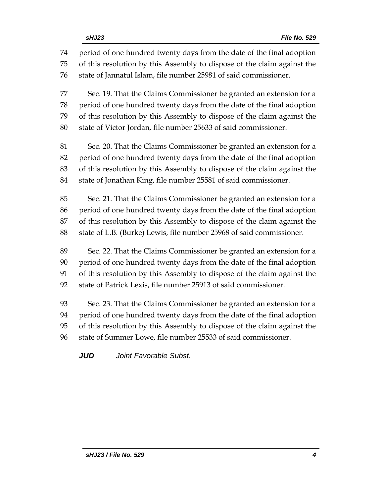period of one hundred twenty days from the date of the final adoption of this resolution by this Assembly to dispose of the claim against the state of Jannatul Islam, file number 25981 of said commissioner. Sec. 19. That the Claims Commissioner be granted an extension for a period of one hundred twenty days from the date of the final adoption of this resolution by this Assembly to dispose of the claim against the state of Victor Jordan, file number 25633 of said commissioner. Sec. 20. That the Claims Commissioner be granted an extension for a period of one hundred twenty days from the date of the final adoption of this resolution by this Assembly to dispose of the claim against the state of Jonathan King, file number 25581 of said commissioner. Sec. 21. That the Claims Commissioner be granted an extension for a period of one hundred twenty days from the date of the final adoption of this resolution by this Assembly to dispose of the claim against the state of L.B. (Burke) Lewis, file number 25968 of said commissioner. Sec. 22. That the Claims Commissioner be granted an extension for a period of one hundred twenty days from the date of the final adoption of this resolution by this Assembly to dispose of the claim against the state of Patrick Lexis, file number 25913 of said commissioner. Sec. 23. That the Claims Commissioner be granted an extension for a period of one hundred twenty days from the date of the final adoption of this resolution by this Assembly to dispose of the claim against the

state of Summer Lowe, file number 25533 of said commissioner.

*JUD Joint Favorable Subst.*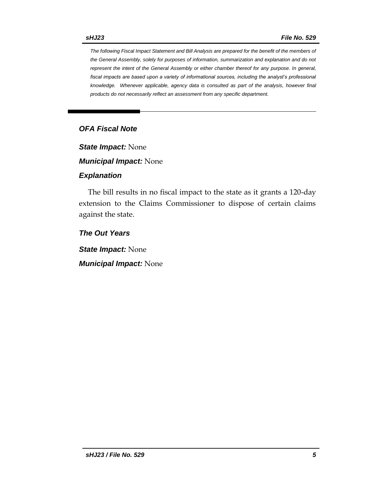*The following Fiscal Impact Statement and Bill Analysis are prepared for the benefit of the members of the General Assembly, solely for purposes of information, summarization and explanation and do not represent the intent of the General Assembly or either chamber thereof for any purpose. In general, fiscal impacts are based upon a variety of informational sources, including the analyst's professional knowledge. Whenever applicable, agency data is consulted as part of the analysis, however final products do not necessarily reflect an assessment from any specific department.*

## *OFA Fiscal Note*

*State Impact:* None

*Municipal Impact:* None

#### *Explanation*

The bill results in no fiscal impact to the state as it grants a 120-day extension to the Claims Commissioner to dispose of certain claims against the state.

*The Out Years*

*State Impact:* None

*Municipal Impact:* None